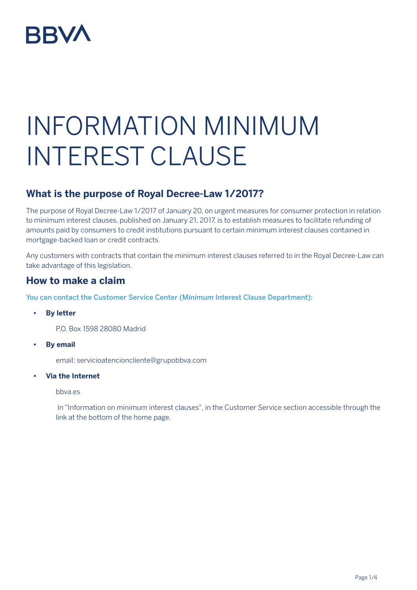

# INFORMATION MINIMUM INTEREST CLAUSE

# **What is the purpose of Royal Decree-Law 1/2017?**

The purpose of Royal Decree-Law 1/2017 of January 20, on urgent measures for consumer protection in relation to minimum interest clauses, published on January 21, 2017, is to establish measures to facilitate refunding of amounts paid by consumers to credit institutions pursuant to certain minimum interest clauses contained in mortgage-backed loan or credit contracts.

Any customers with contracts that contain the minimum interest clauses referred to in the Royal Decree-Law can take advantage of this legislation.

## **How to make a claim**

You can contact the Customer Service Center (Minimum Interest Clause Department):

- **• By letter**
	- P.O. Box 1598 28080 Madrid
- **• By email**

email: servicioatencioncliente@grupobbva.com

**• Via the Internet**

bbva.es

 In "Information on minimum interest clauses", in the Customer Service section accessible through the link at the bottom of the home page.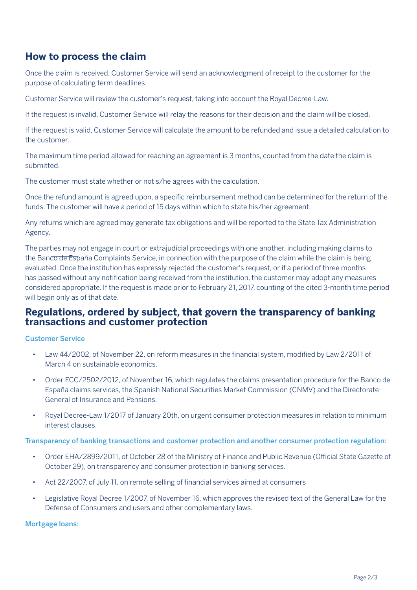# **How to process the claim**

Once the claim is received, Customer Service will send an acknowledgment of receipt to the customer for the purpose of calculating term deadlines.

Customer Service will review the customer's request, taking into account the Royal Decree-Law.

If the request is invalid, Customer Service will relay the reasons for their decision and the claim will be closed.

If the request is valid, Customer Service will calculate the amount to be refunded and issue a detailed calculation to the customer.

The maximum time period allowed for reaching an agreement is 3 months, counted from the date the claim is submitted.

The customer must state whether or not s/he agrees with the calculation.

Once the refund amount is agreed upon, a specific reimbursement method can be determined for the return of the funds. The customer will have a period of 15 days within which to state his/her agreement.

Any returns which are agreed may generate tax obligations and will be reported to the State Tax Administration Agency.

The parties may not engage in court or extrajudicial proceedings with one another, including making claims to the Banco de España Complaints Service, in connection with the purpose of the claim while the claim is being evaluated. Once the institution has expressly rejected the customer's request, or if a period of three months has passed without any notification being received from the institution, the customer may adopt any measures considered appropriate. If the request is made prior to February 21, 2017, counting of the cited 3-month time period will begin only as of that date.

## **Regulations, ordered by subject, that govern the transparency of banking transactions and customer protection**

### Customer Service

- Law 44/2002, of November 22, on reform measures in the financial system, modified by Law 2/2011 of March 4 on sustainable economics.
- Order ECC/2502/2012, of November 16, which regulates the claims presentation procedure for the Banco de España claims services, the Spanish National Securities Market Commission (CNMV) and the Directorate-General of Insurance and Pensions.
- Royal Decree-Law 1/2017 of January 20th, on urgent consumer protection measures in relation to minimum interest clauses.

### Transparency of banking transactions and customer protection and another consumer protection regulation:

- Order EHA/2899/2011, of October 28 of the Ministry of Finance and Public Revenue (Official State Gazette of October 29), on transparency and consumer protection in banking services.
- Act 22/2007, of July 11, on remote selling of financial services aimed at consumers
- Legislative Royal Decree 1/2007, of November 16, which approves the revised text of the General Law for the Defense of Consumers and users and other complementary laws.

#### Mortgage loans: